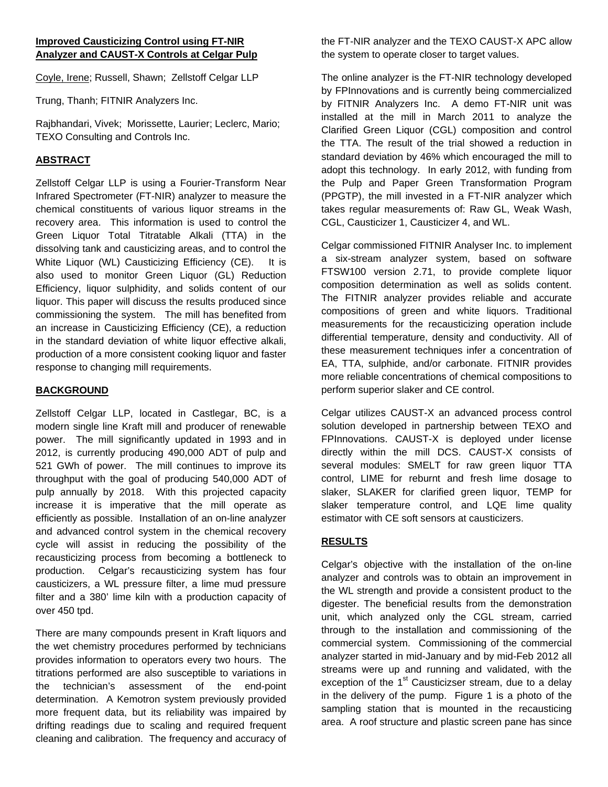Coyle, Irene; Russell, Shawn; Zellstoff Celgar LLP

Trung, Thanh; FITNIR Analyzers Inc.

Rajbhandari, Vivek; Morissette, Laurier; Leclerc, Mario; TEXO Consulting and Controls Inc.

## **ABSTRACT**

Zellstoff Celgar LLP is using a Fourier-Transform Near Infrared Spectrometer (FT-NIR) analyzer to measure the chemical constituents of various liquor streams in the recovery area. This information is used to control the Green Liquor Total Titratable Alkali (TTA) in the dissolving tank and causticizing areas, and to control the White Liquor (WL) Causticizing Efficiency (CE). It is also used to monitor Green Liquor (GL) Reduction Efficiency, liquor sulphidity, and solids content of our liquor. This paper will discuss the results produced since commissioning the system. The mill has benefited from an increase in Causticizing Efficiency (CE), a reduction in the standard deviation of white liquor effective alkali. production of a more consistent cooking liquor and faster response to changing mill requirements.

## **BACKGROUND**

Zellstoff Celgar LLP, located in Castlegar, BC, is a modern single line Kraft mill and producer of renewable power. The mill significantly updated in 1993 and in 2012, is currently producing 490,000 ADT of pulp and 521 GWh of power. The mill continues to improve its throughput with the goal of producing 540,000 ADT of pulp annually by 2018. With this projected capacity increase it is imperative that the mill operate as efficiently as possible. Installation of an on-line analyzer and advanced control system in the chemical recovery cycle will assist in reducing the possibility of the recausticizing process from becoming a bottleneck to production. Celgar's recausticizing system has four causticizers, a WL pressure filter, a lime mud pressure filter and a 380' lime kiln with a production capacity of over 450 tpd.

There are many compounds present in Kraft liquors and the wet chemistry procedures performed by technicians provides information to operators every two hours. The titrations performed are also susceptible to variations in the technician's assessment of the end-point determination. A Kemotron system previously provided more frequent data, but its reliability was impaired by drifting readings due to scaling and required frequent cleaning and calibration. The frequency and accuracy of

the FT-NIR analyzer and the TEXO CAUST-X APC allow the system to operate closer to target values.

The online analyzer is the FT-NIR technology developed by FPInnovations and is currently being commercialized by FITNIR Analyzers Inc. A demo FT-NIR unit was installed at the mill in March 2011 to analyze the Clarified Green Liquor (CGL) composition and control the TTA. The result of the trial showed a reduction in standard deviation by 46% which encouraged the mill to adopt this technology. In early 2012, with funding from the Pulp and Paper Green Transformation Program (PPGTP), the mill invested in a FT-NIR analyzer which takes regular measurements of: Raw GL, Weak Wash, CGL, Causticizer 1, Causticizer 4, and WL.

Celgar commissioned FITNIR Analyser Inc. to implement a six-stream analyzer system, based on software FTSW100 version 2.71, to provide complete liquor composition determination as well as solids content. The FITNIR analyzer provides reliable and accurate compositions of green and white liquors. Traditional measurements for the recausticizing operation include differential temperature, density and conductivity. All of these measurement techniques infer a concentration of EA, TTA, sulphide, and/or carbonate. FITNIR provides more reliable concentrations of chemical compositions to perform superior slaker and CE control.

Celgar utilizes CAUST-X an advanced process control solution developed in partnership between TEXO and FPInnovations. CAUST-X is deployed under license directly within the mill DCS. CAUST-X consists of several modules: SMELT for raw green liquor TTA control, LIME for reburnt and fresh lime dosage to slaker, SLAKER for clarified green liquor, TEMP for slaker temperature control, and LQE lime quality estimator with CE soft sensors at causticizers.

# **RESULTS**

Celgar's objective with the installation of the on-line analyzer and controls was to obtain an improvement in the WL strength and provide a consistent product to the digester. The beneficial results from the demonstration unit, which analyzed only the CGL stream, carried through to the installation and commissioning of the commercial system. Commissioning of the commercial analyzer started in mid-January and by mid-Feb 2012 all streams were up and running and validated, with the exception of the  $1<sup>st</sup>$  Causticizser stream, due to a delay in the delivery of the pump. Figure 1 is a photo of the sampling station that is mounted in the recausticing area. A roof structure and plastic screen pane has since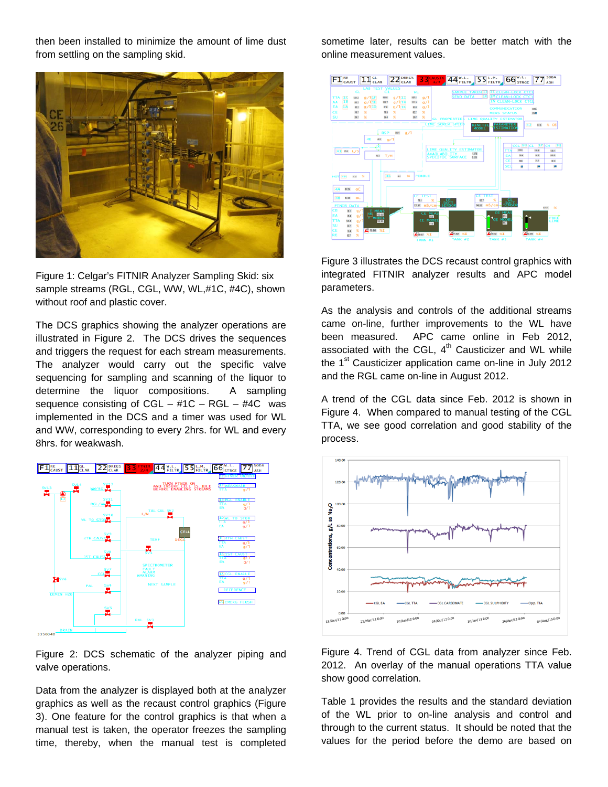then been installed to minimize the amount of lime dust from settling on the sampling skid.



Figure 1: Celgar's FITNIR Analyzer Sampling Skid: six sample streams (RGL, CGL, WW, WL,#1C, #4C), shown without roof and plastic cover.

The DCS graphics showing the analyzer operations are illustrated in Figure 2. The DCS drives the sequences and triggers the request for each stream measurements. The analyzer would carry out the specific valve sequencing for sampling and scanning of the liquor to determine the liquor compositions. A sampling sequence consisting of  $CGL - #1C - RGL - #4C$  was implemented in the DCS and a timer was used for WL and WW, corresponding to every 2hrs. for WL and every 8hrs. for weakwash.



Figure 2: DCS schematic of the analyzer piping and valve operations.

Data from the analyzer is displayed both at the analyzer graphics as well as the recaust control graphics (Figure 3). One feature for the control graphics is that when a manual test is taken, the operator freezes the sampling time, thereby, when the manual test is completed sometime later, results can be better match with the online measurement values.



Figure 3 illustrates the DCS recaust control graphics with integrated FITNIR analyzer results and APC model parameters.

As the analysis and controls of the additional streams came on-line, further improvements to the WL have been measured. APC came online in Feb 2012, associated with the CGL,  $4<sup>th</sup>$  Causticizer and WL while the 1<sup>st</sup> Causticizer application came on-line in July 2012 and the RGL came on-line in August 2012.

A trend of the CGL data since Feb. 2012 is shown in Figure 4. When compared to manual testing of the CGL TTA, we see good correlation and good stability of the process.



Figure 4. Trend of CGL data from analyzer since Feb. 2012. An overlay of the manual operations TTA value show good correlation.

Table 1 provides the results and the standard deviation of the WL prior to on-line analysis and control and through to the current status. It should be noted that the values for the period before the demo are based on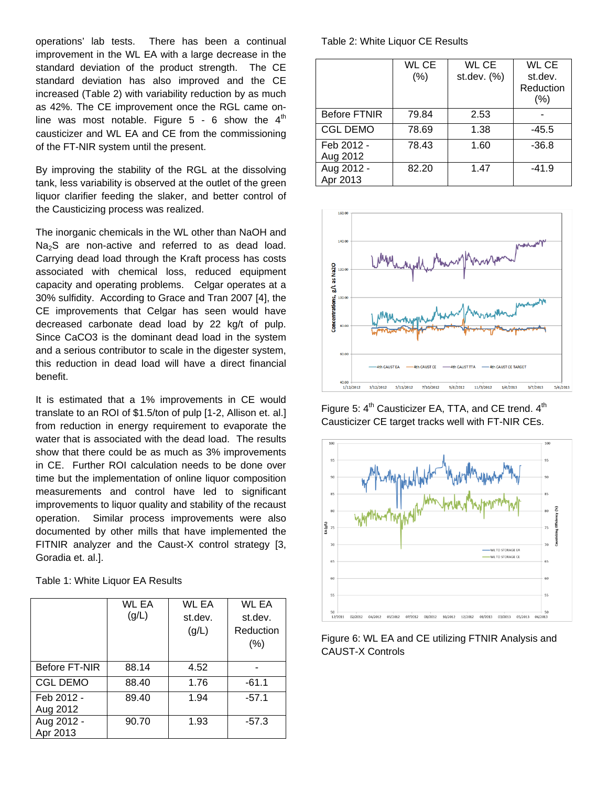operations' lab tests. There has been a continual improvement in the WL EA with a large decrease in the standard deviation of the product strength. The CE standard deviation has also improved and the CE increased (Table 2) with variability reduction by as much as 42%. The CE improvement once the RGL came online was most notable. Figure  $5 - 6$  show the  $4<sup>th</sup>$ causticizer and WL EA and CE from the commissioning of the FT-NIR system until the present.

By improving the stability of the RGL at the dissolving tank, less variability is observed at the outlet of the green liquor clarifier feeding the slaker, and better control of the Causticizing process was realized.

The inorganic chemicals in the WL other than NaOH and  $Na<sub>2</sub>S$  are non-active and referred to as dead load. Carrying dead load through the Kraft process has costs associated with chemical loss, reduced equipment capacity and operating problems. Celgar operates at a 30% sulfidity. According to Grace and Tran 2007 [4], the CE improvements that Celgar has seen would have decreased carbonate dead load by 22 kg/t of pulp. Since CaCO3 is the dominant dead load in the system and a serious contributor to scale in the digester system, this reduction in dead load will have a direct financial benefit.

It is estimated that a 1% improvements in CE would translate to an ROI of \$1.5/ton of pulp [1-2, Allison et. al.] from reduction in energy requirement to evaporate the water that is associated with the dead load. The results show that there could be as much as 3% improvements in CE. Further ROI calculation needs to be done over time but the implementation of online liquor composition measurements and control have led to significant improvements to liquor quality and stability of the recaust operation. Similar process improvements were also documented by other mills that have implemented the FITNIR analyzer and the Caust-X control strategy [3, Goradia et. al.].

| Table 1: White Liquor EA Results |  |  |
|----------------------------------|--|--|
|----------------------------------|--|--|

|                        | WL EA<br>(g/L) | WL EA<br>st.dev.<br>(g/L) | WL EA<br>st.dev.<br>Reduction<br>$(\% )$ |
|------------------------|----------------|---------------------------|------------------------------------------|
| <b>Before FT-NIR</b>   | 88.14          | 4.52                      |                                          |
| <b>CGL DEMO</b>        | 88.40          | 1.76                      | $-61.1$                                  |
| Feb 2012 -<br>Aug 2012 | 89.40          | 1.94                      | $-57.1$                                  |
| Aug 2012 -<br>Apr 2013 | 90.70          | 1.93                      | $-57.3$                                  |

Table 2: White Liquor CE Results

|                        | <b>WL CE</b><br>(%) | WL CE<br>st.dev. (%) | WL CE<br>st.dev.<br>Reduction<br>(%) |
|------------------------|---------------------|----------------------|--------------------------------------|
| <b>Before FTNIR</b>    | 79.84               | 2.53                 |                                      |
| <b>CGL DEMO</b>        | 78.69               | 1.38                 | $-45.5$                              |
| Feb 2012 -<br>Aug 2012 | 78.43               | 1.60                 | $-36.8$                              |
| Aug 2012 -<br>Apr 2013 | 82.20               | 1.47                 | $-41.9$                              |



Figure 5:  $4<sup>th</sup>$  Causticizer EA, TTA, and CE trend.  $4<sup>th</sup>$ Causticizer CE target tracks well with FT-NIR CEs.



Figure 6: WL EA and CE utilizing FTNIR Analysis and CAUST-X Controls